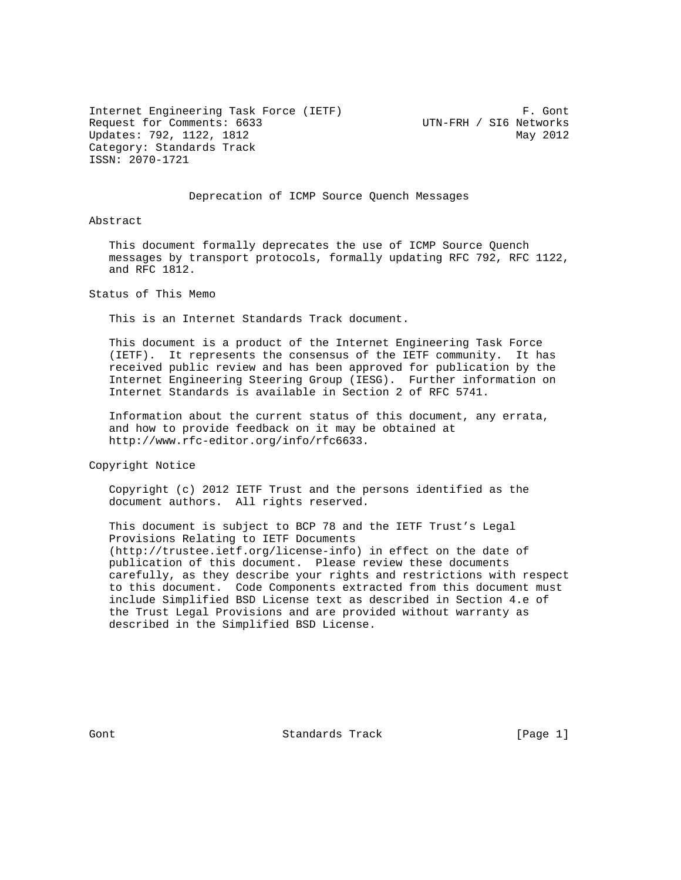Internet Engineering Task Force (IETF) F. Gont Request for Comments: 6633 UTN-FRH / SI6 Networks Updates: 792, 1122, 1812 May 2012 Category: Standards Track ISSN: 2070-1721

## Deprecation of ICMP Source Quench Messages

Abstract

 This document formally deprecates the use of ICMP Source Quench messages by transport protocols, formally updating RFC 792, RFC 1122, and RFC 1812.

Status of This Memo

This is an Internet Standards Track document.

 This document is a product of the Internet Engineering Task Force (IETF). It represents the consensus of the IETF community. It has received public review and has been approved for publication by the Internet Engineering Steering Group (IESG). Further information on Internet Standards is available in Section 2 of RFC 5741.

 Information about the current status of this document, any errata, and how to provide feedback on it may be obtained at http://www.rfc-editor.org/info/rfc6633.

Copyright Notice

 Copyright (c) 2012 IETF Trust and the persons identified as the document authors. All rights reserved.

 This document is subject to BCP 78 and the IETF Trust's Legal Provisions Relating to IETF Documents (http://trustee.ietf.org/license-info) in effect on the date of publication of this document. Please review these documents carefully, as they describe your rights and restrictions with respect to this document. Code Components extracted from this document must include Simplified BSD License text as described in Section 4.e of the Trust Legal Provisions and are provided without warranty as described in the Simplified BSD License.

Gont 6 Contract Standards Track Contract (Page 1)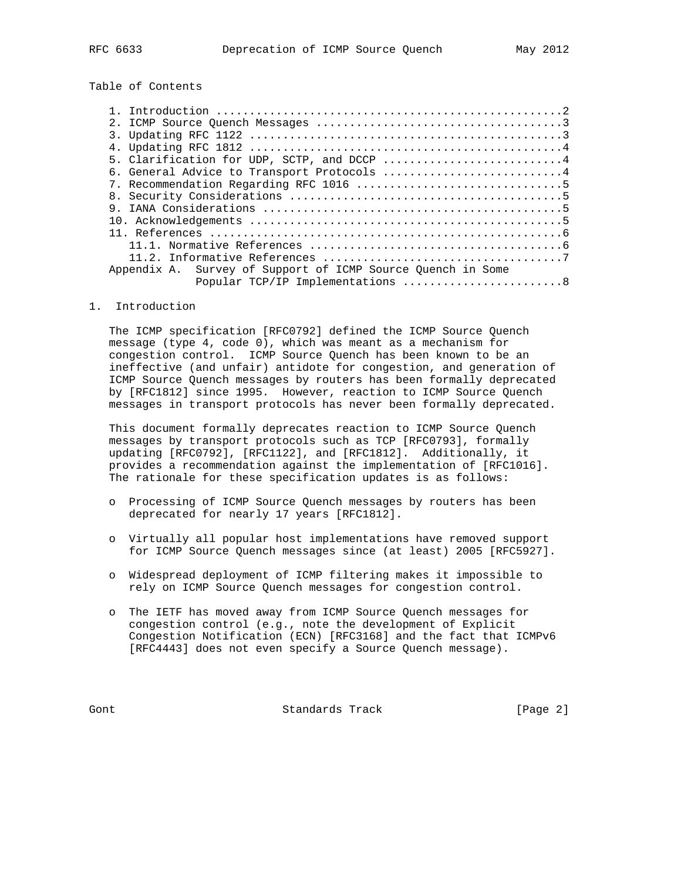# Table of Contents

| 2.1                                                         |  |
|-------------------------------------------------------------|--|
|                                                             |  |
|                                                             |  |
| 5. Clarification for UDP, SCTP, and DCCP 4                  |  |
| 6. General Advice to Transport Protocols 4                  |  |
|                                                             |  |
|                                                             |  |
|                                                             |  |
|                                                             |  |
|                                                             |  |
|                                                             |  |
|                                                             |  |
| Appendix A. Survey of Support of ICMP Source Quench in Some |  |
| Popular TCP/IP Implementations 8                            |  |
|                                                             |  |

#### 1. Introduction

 The ICMP specification [RFC0792] defined the ICMP Source Quench message (type 4, code 0), which was meant as a mechanism for congestion control. ICMP Source Quench has been known to be an ineffective (and unfair) antidote for congestion, and generation of ICMP Source Quench messages by routers has been formally deprecated by [RFC1812] since 1995. However, reaction to ICMP Source Quench messages in transport protocols has never been formally deprecated.

 This document formally deprecates reaction to ICMP Source Quench messages by transport protocols such as TCP [RFC0793], formally updating [RFC0792], [RFC1122], and [RFC1812]. Additionally, it provides a recommendation against the implementation of [RFC1016]. The rationale for these specification updates is as follows:

- o Processing of ICMP Source Quench messages by routers has been deprecated for nearly 17 years [RFC1812].
- o Virtually all popular host implementations have removed support for ICMP Source Quench messages since (at least) 2005 [RFC5927].
- o Widespread deployment of ICMP filtering makes it impossible to rely on ICMP Source Quench messages for congestion control.
- o The IETF has moved away from ICMP Source Quench messages for congestion control (e.g., note the development of Explicit Congestion Notification (ECN) [RFC3168] and the fact that ICMPv6 [RFC4443] does not even specify a Source Quench message).

Gont Gont Standards Track (Page 2)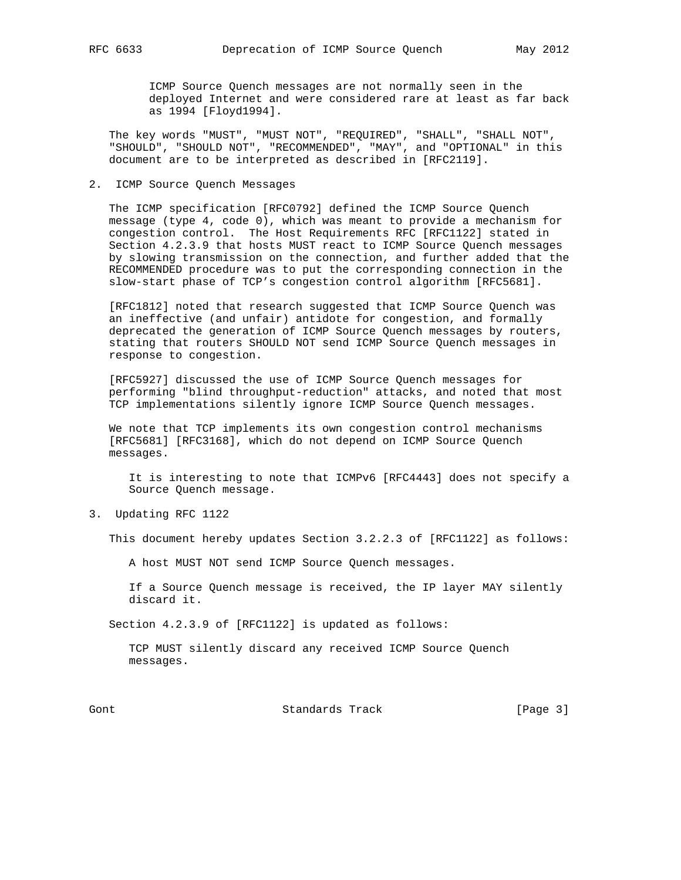ICMP Source Quench messages are not normally seen in the deployed Internet and were considered rare at least as far back as 1994 [Floyd1994].

 The key words "MUST", "MUST NOT", "REQUIRED", "SHALL", "SHALL NOT", "SHOULD", "SHOULD NOT", "RECOMMENDED", "MAY", and "OPTIONAL" in this document are to be interpreted as described in [RFC2119].

#### 2. ICMP Source Quench Messages

 The ICMP specification [RFC0792] defined the ICMP Source Quench message (type 4, code 0), which was meant to provide a mechanism for congestion control. The Host Requirements RFC [RFC1122] stated in Section 4.2.3.9 that hosts MUST react to ICMP Source Quench messages by slowing transmission on the connection, and further added that the RECOMMENDED procedure was to put the corresponding connection in the slow-start phase of TCP's congestion control algorithm [RFC5681].

 [RFC1812] noted that research suggested that ICMP Source Quench was an ineffective (and unfair) antidote for congestion, and formally deprecated the generation of ICMP Source Quench messages by routers, stating that routers SHOULD NOT send ICMP Source Quench messages in response to congestion.

 [RFC5927] discussed the use of ICMP Source Quench messages for performing "blind throughput-reduction" attacks, and noted that most TCP implementations silently ignore ICMP Source Quench messages.

 We note that TCP implements its own congestion control mechanisms [RFC5681] [RFC3168], which do not depend on ICMP Source Quench messages.

 It is interesting to note that ICMPv6 [RFC4443] does not specify a Source Quench message.

3. Updating RFC 1122

This document hereby updates Section 3.2.2.3 of [RFC1122] as follows:

A host MUST NOT send ICMP Source Quench messages.

 If a Source Quench message is received, the IP layer MAY silently discard it.

Section 4.2.3.9 of [RFC1122] is updated as follows:

 TCP MUST silently discard any received ICMP Source Quench messages.

Gont Gont Standards Track (Page 3)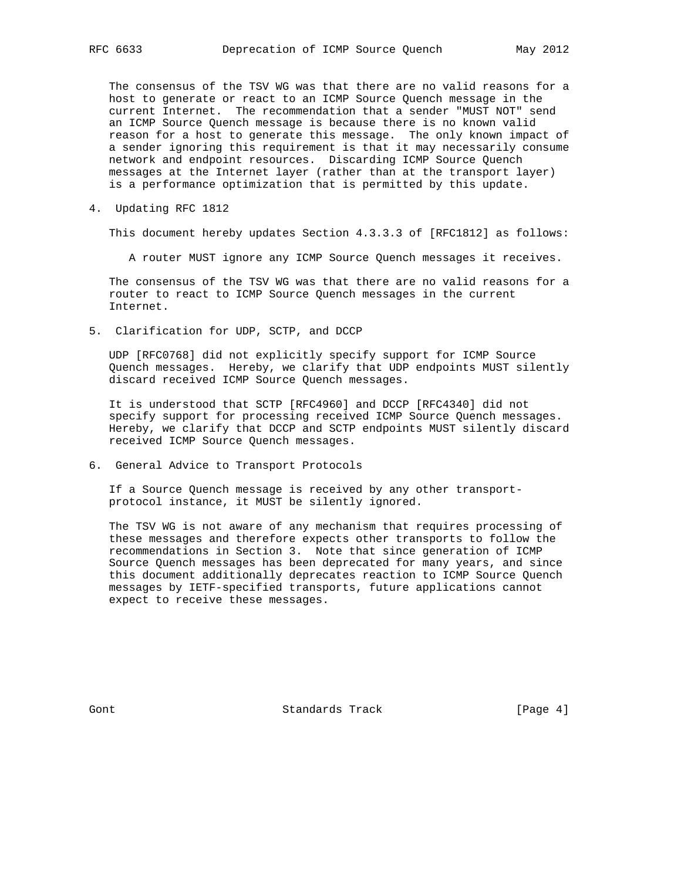The consensus of the TSV WG was that there are no valid reasons for a host to generate or react to an ICMP Source Quench message in the current Internet. The recommendation that a sender "MUST NOT" send an ICMP Source Quench message is because there is no known valid reason for a host to generate this message. The only known impact of a sender ignoring this requirement is that it may necessarily consume network and endpoint resources. Discarding ICMP Source Quench messages at the Internet layer (rather than at the transport layer) is a performance optimization that is permitted by this update.

4. Updating RFC 1812

This document hereby updates Section 4.3.3.3 of [RFC1812] as follows:

A router MUST ignore any ICMP Source Quench messages it receives.

 The consensus of the TSV WG was that there are no valid reasons for a router to react to ICMP Source Quench messages in the current Internet.

5. Clarification for UDP, SCTP, and DCCP

 UDP [RFC0768] did not explicitly specify support for ICMP Source Quench messages. Hereby, we clarify that UDP endpoints MUST silently discard received ICMP Source Quench messages.

 It is understood that SCTP [RFC4960] and DCCP [RFC4340] did not specify support for processing received ICMP Source Quench messages. Hereby, we clarify that DCCP and SCTP endpoints MUST silently discard received ICMP Source Quench messages.

6. General Advice to Transport Protocols

 If a Source Quench message is received by any other transport protocol instance, it MUST be silently ignored.

 The TSV WG is not aware of any mechanism that requires processing of these messages and therefore expects other transports to follow the recommendations in Section 3. Note that since generation of ICMP Source Quench messages has been deprecated for many years, and since this document additionally deprecates reaction to ICMP Source Quench messages by IETF-specified transports, future applications cannot expect to receive these messages.

Gont 6 Contract Standards Track (Page 4)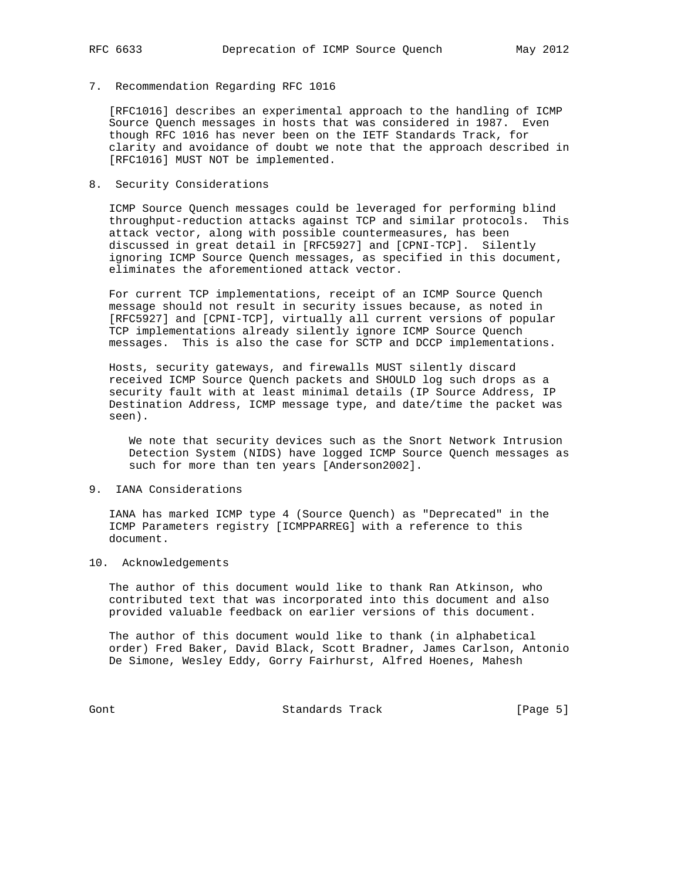7. Recommendation Regarding RFC 1016

 [RFC1016] describes an experimental approach to the handling of ICMP Source Quench messages in hosts that was considered in 1987. Even though RFC 1016 has never been on the IETF Standards Track, for clarity and avoidance of doubt we note that the approach described in [RFC1016] MUST NOT be implemented.

8. Security Considerations

 ICMP Source Quench messages could be leveraged for performing blind throughput-reduction attacks against TCP and similar protocols. This attack vector, along with possible countermeasures, has been discussed in great detail in [RFC5927] and [CPNI-TCP]. Silently ignoring ICMP Source Quench messages, as specified in this document, eliminates the aforementioned attack vector.

 For current TCP implementations, receipt of an ICMP Source Quench message should not result in security issues because, as noted in [RFC5927] and [CPNI-TCP], virtually all current versions of popular TCP implementations already silently ignore ICMP Source Quench messages. This is also the case for SCTP and DCCP implementations.

 Hosts, security gateways, and firewalls MUST silently discard received ICMP Source Quench packets and SHOULD log such drops as a security fault with at least minimal details (IP Source Address, IP Destination Address, ICMP message type, and date/time the packet was seen).

 We note that security devices such as the Snort Network Intrusion Detection System (NIDS) have logged ICMP Source Quench messages as such for more than ten years [Anderson2002].

## 9. IANA Considerations

 IANA has marked ICMP type 4 (Source Quench) as "Deprecated" in the ICMP Parameters registry [ICMPPARREG] with a reference to this document.

### 10. Acknowledgements

 The author of this document would like to thank Ran Atkinson, who contributed text that was incorporated into this document and also provided valuable feedback on earlier versions of this document.

 The author of this document would like to thank (in alphabetical order) Fred Baker, David Black, Scott Bradner, James Carlson, Antonio De Simone, Wesley Eddy, Gorry Fairhurst, Alfred Hoenes, Mahesh

Gont Gont Standards Track (Page 5)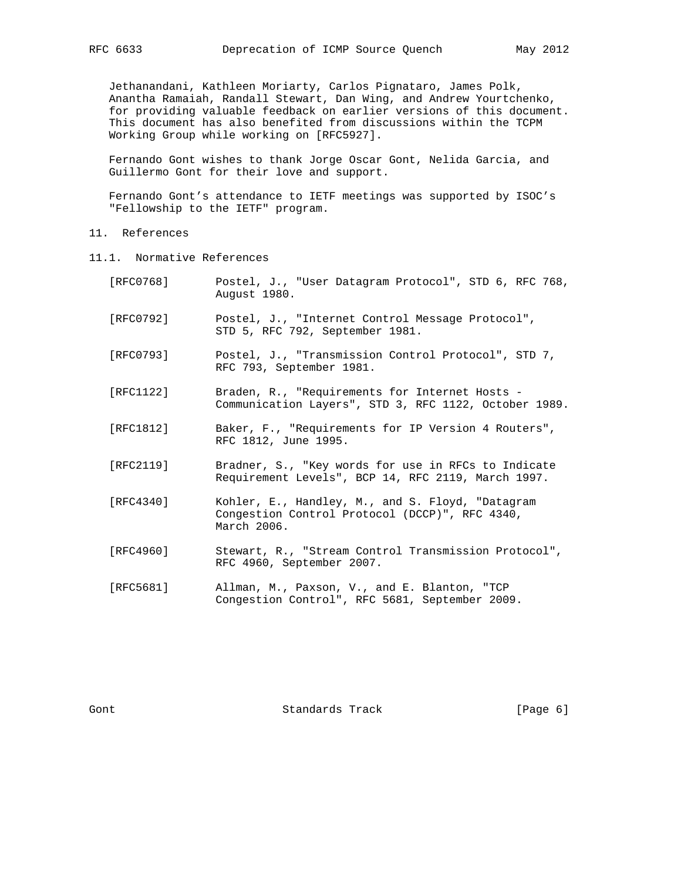Jethanandani, Kathleen Moriarty, Carlos Pignataro, James Polk, Anantha Ramaiah, Randall Stewart, Dan Wing, and Andrew Yourtchenko, for providing valuable feedback on earlier versions of this document. This document has also benefited from discussions within the TCPM Working Group while working on [RFC5927].

 Fernando Gont wishes to thank Jorge Oscar Gont, Nelida Garcia, and Guillermo Gont for their love and support.

 Fernando Gont's attendance to IETF meetings was supported by ISOC's "Fellowship to the IETF" program.

- 11. References
- 11.1. Normative References

| [RFC0768] | Postel, J., "User Datagram Protocol", STD 6, RFC 768,<br>August 1980.                                             |
|-----------|-------------------------------------------------------------------------------------------------------------------|
| [RFC0792] | Postel, J., "Internet Control Message Protocol",<br>STD 5, RFC 792, September 1981.                               |
| [RFC0793] | Postel, J., "Transmission Control Protocol", STD 7,<br>RFC 793, September 1981.                                   |
| [RFC1122] | Braden, R., "Requirements for Internet Hosts -<br>Communication Layers", STD 3, RFC 1122, October 1989.           |
| [RFC1812] | Baker, F., "Requirements for IP Version 4 Routers",<br>RFC 1812, June 1995.                                       |
| [RFC2119] | Bradner, S., "Key words for use in RFCs to Indicate<br>Requirement Levels", BCP 14, RFC 2119, March 1997.         |
| [RFC4340] | Kohler, E., Handley, M., and S. Floyd, "Datagram<br>Congestion Control Protocol (DCCP)", RFC 4340,<br>March 2006. |
| [RFC4960] | Stewart, R., "Stream Control Transmission Protocol",<br>RFC 4960, September 2007.                                 |
| [RFC5681] | Allman, M., Paxson, V., and E. Blanton, "TCP<br>Congestion Control", RFC 5681, September 2009.                    |

Gont Gont Standards Track [Page 6]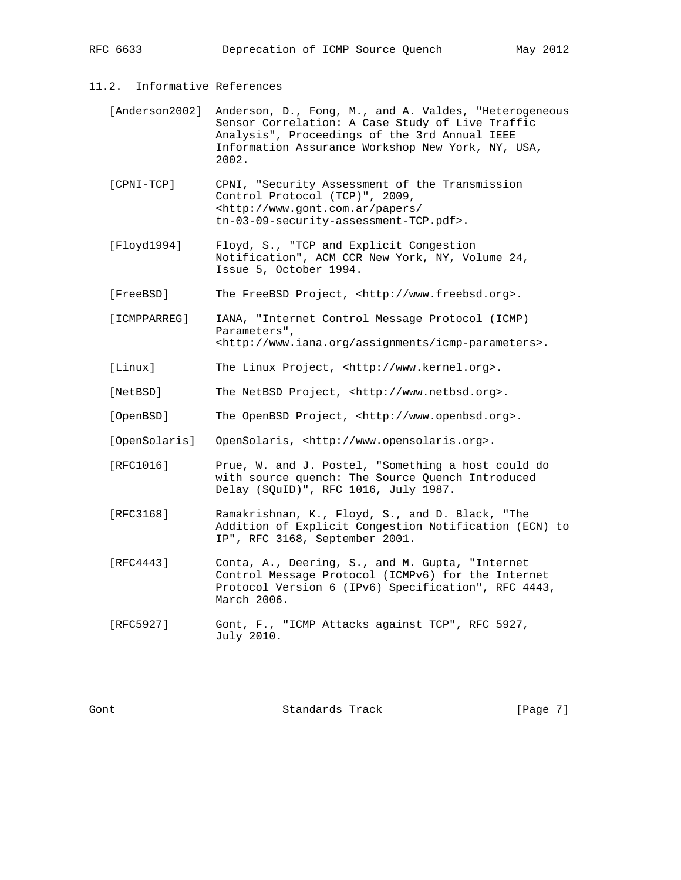11.2. Informative References

- [Anderson2002] Anderson, D., Fong, M., and A. Valdes, "Heterogeneous Sensor Correlation: A Case Study of Live Traffic Analysis", Proceedings of the 3rd Annual IEEE Information Assurance Workshop New York, NY, USA, 2002.
- [CPNI-TCP] CPNI, "Security Assessment of the Transmission Control Protocol (TCP)", 2009, <http://www.gont.com.ar/papers/ tn-03-09-security-assessment-TCP.pdf>.
- [Floyd1994] Floyd, S., "TCP and Explicit Congestion Notification", ACM CCR New York, NY, Volume 24, Issue 5, October 1994.
- [FreeBSD] The FreeBSD Project, <http://www.freebsd.org>.
- [ICMPPARREG] IANA, "Internet Control Message Protocol (ICMP) Parameters", <http://www.iana.org/assignments/icmp-parameters>.
- [Linux] The Linux Project, <http://www.kernel.org>.
- [NetBSD] The NetBSD Project, <http://www.netbsd.org>.
- [OpenBSD] The OpenBSD Project, <http://www.openbsd.org>.
- [OpenSolaris] OpenSolaris, <http://www.opensolaris.org>.
- [RFC1016] Prue, W. and J. Postel, "Something a host could do with source quench: The Source Quench Introduced Delay (SQuID)", RFC 1016, July 1987.
- [RFC3168] Ramakrishnan, K., Floyd, S., and D. Black, "The Addition of Explicit Congestion Notification (ECN) to IP", RFC 3168, September 2001.
- [RFC4443] Conta, A., Deering, S., and M. Gupta, "Internet Control Message Protocol (ICMPv6) for the Internet Protocol Version 6 (IPv6) Specification", RFC 4443, March 2006.
- [RFC5927] Gont, F., "ICMP Attacks against TCP", RFC 5927, July 2010.

Gont 6-10 Standards Track (Page 7)